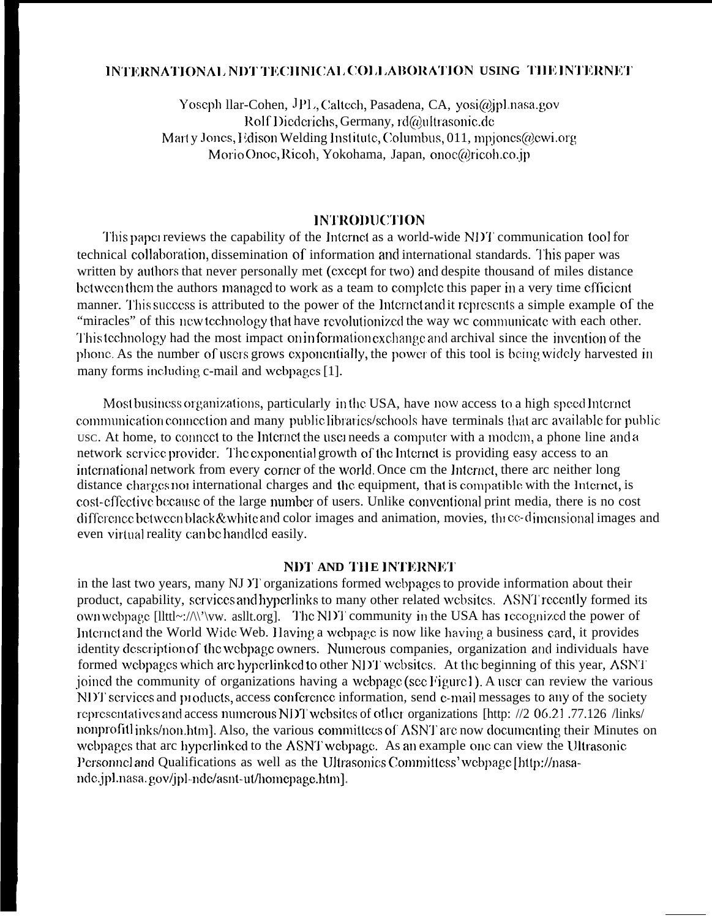#### INTERNATIONAL NDT TECHNICAL COLLABORATION USING THE INTERNET

Yoseph Ilar-Cohen, JPL, Caltech, Pasadena, CA, yosi@jpLnasa.gov Rolf Diederichs, Germany, rd@ultrasonic.de Marty Jones, Edison Welding Institute, Columbus, 011, mpiones@ewi.org Morio Onoc, Ricoh, Yokohama, Japan, onoc@ricoh.co.jp

#### **INTRODUCTION**

This paper reviews the capability of the Internet as a world-wide NDT communication tool for technical collaboration, dissemination of information and international standards. This paper was written by authors that never personally met (except for two) and despite thousand of miles distance between them the authors managed to work as a team to complete this paper in a very time efficient manner. This success is attributed to the power of the Internet and it represents a simple example of the "miracles" of this new technology that have revolutionized the way we communicate with each other. This technology had the most impact on information exchange and archival since the invention of the phone. As the number of users grows exponentially, the power of this tool is being widely harvested in many forms including c-mail and webpages [1].

Most business organizations, particularly in the USA, have now access to a high speed Internet communication connection and many public libraries/schools have terminals that arc available for public usc. At home, to connect to the Internet the user needs a computer with a modem, a phone line and a network service provider. The exponential growth of the Internet is providing easy access to an international network from every corner of the world. Once cm the Internet, there are neither long distance charges not international charges and the equipment, that is compatible with the Internet, is cost-effective because of the large number of users. Unlike conventional print media, there is no cost difference between black & white and color images and animation, movies, the ce-dimensional images and even virtual reality can be handled easily.

#### **NDT AND THE INTERNET**

in the last two years, many NJ Y organizations formed webpages to provide information about their product, capability, services and hyperlinks to many other related websites. ASNT recently formed its own webpage [llttl~://\'\'vw. asllt.org]. The NDT community in the USA has recognized the power of Internet and the World Wide Web. Having a webpage is now like having a business card, it provides identity description of the webpage owners. Numerous companies, organization and individuals have formed webpages which are hyperlinked to other NDT websites. At the beginning of this year, ASNT joined the community of organizations having a webpage (see Figure 1). A user can review the various NDT services and products, access conference information, send e-mail messages to any of the society representatives and access numerous NDT websites of other organizations [http: //2 06.21.77.126 /links/ nonprofitlinks/non.htm]. Also, the various committees of ASNT are now documenting their Minutes on webpages that arc hyperlinked to the ASNT webpage. As an example one can view the Ultrasonic Personnel and Qualifications as well as the Ultrasonics Committess' webpage [http://nasande.jpl.nasa.gov/jpl-nde/asnt-ut/homepage.htm].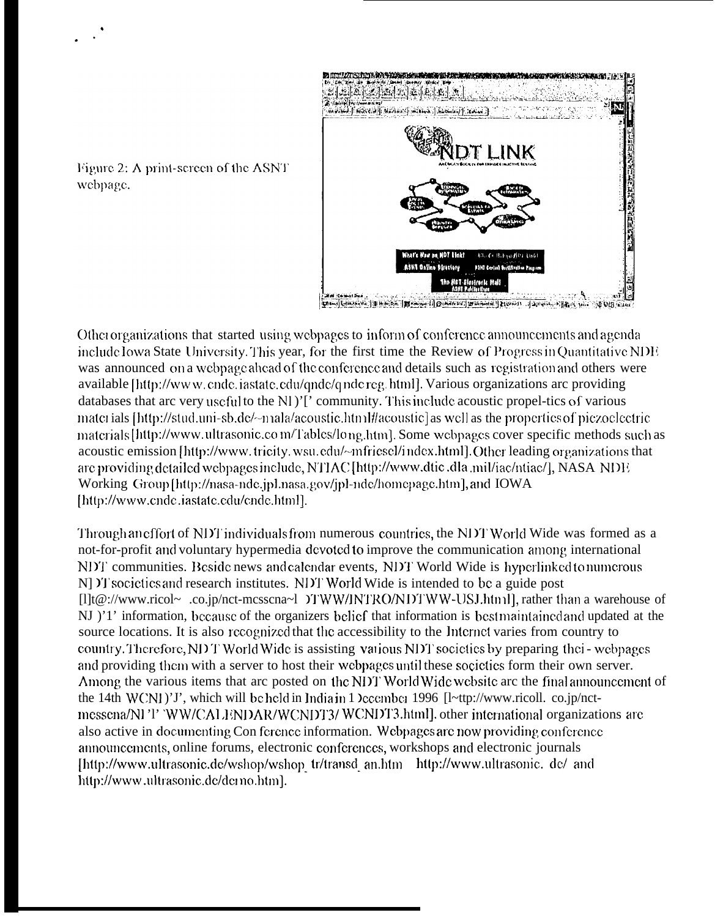

Figure 2: A print-screen of the ASNT webpage.

Other organizations that started using webpages to inform of conference announcements and agenda include Iowa State University. This year, for the first time the Review of Progress in Quantitative NDE was announced on a webpage ahead of the conference and details such as registration and others were available [http://www.cnde.iastate.cdu/qnde/qndereg.html]. Various organizations arc providing databases that arc very useful to the NI)'[' community. This include acoustic propel-tics of various materials [http://stud.uni-sb.de/~n1ala/acoustic.html#acoustic] as well as the properties of piezoelectric materials [http://www.ultrasonic.com/Tables/long.htm]. Some webpages cover specific methods such as acoustic emission [http://www.tricity.wsu.edu/~mfriesel/index.html]. Other leading organizations that are providing detailed webpages include, NTIAC [http://www.dtic.dla.mil/iac/ntiac/], NASA NDE Working Group [http://nasa-nde.jpl.nasa.gov/jpl-nde/homepage.htm], and IOWA [http://www.cndc.iastate.edu/cnde.html].

Through an effort of NDT individuals from numerous countries, the NDT World Wide was formed as a not-for-profit and voluntary hypermedia devoted to improve the communication among international NDT communities. Beside news and calendar events, NDT World Wide is hyperlinked to numerous N] IT societies and research institutes. NDT World Wide is intended to be a guide post [1]t@://www.ricol~.co.jp/nct-mcsscna~1 )TWW/INTRO/NDTWW-USJ.html], rather than a warehouse of NJ )'1' information, because of the organizers belief that information is best maintained and updated at the source locations. It is also recognized that the accessibility to the Internet varies from country to country. Therefore, NDT World Wide is assisting various NDT societies by preparing thei-webpages and providing them with a server to host their webpages until these societies form their own server. Among the various items that arc posted on the NDT World Wide website arc the final announcement of the 14th WCNI)'J', which will be held in India in 1 locember 1996 [l~ttp://www.ricoll. co.jp/nctmessena/NI'I' 'WW/CALENDAR/WCNDT3/WCNDT3.html], other international organizations are also active in documenting Conference information. Webpages are now providing conference announcements, online forums, electronic conferences, workshops and electronic journals [http://www.ultrasonic.de/wshop/wshop\_tr/transd\_an.htm \_http://www.ultrasonic.de/\_and http://www.ultrasonic.de/demo.htm].